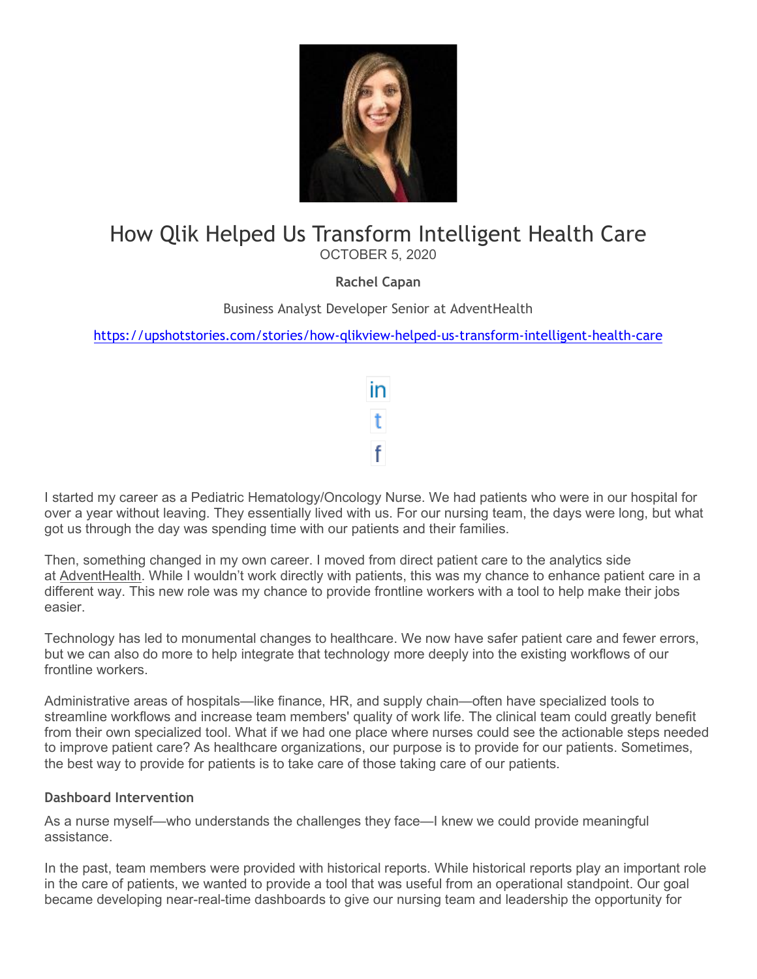

# How Qlik Helped Us Transform Intelligent Health Care

OCTOBER 5, 2020

**Rachel Capan**

Business Analyst Developer Senior at AdventHealth

<https://upshotstories.com/stories/how-qlikview-helped-us-transform-intelligent-health-care>



I started my career as a Pediatric Hematology/Oncology Nurse. We had patients who were in our hospital for over a year without leaving. They essentially lived with us. For our nursing team, the days were long, but what got us through the day was spending time with our patients and their families.

Then, something changed in my own career. I moved from direct patient care to the analytics side at [AdventHealth.](https://www.adventhealth.com/) While I wouldn't work directly with patients, this was my chance to enhance patient care in a different way. This new role was my chance to provide frontline workers with a tool to help make their jobs easier.

Technology has led to monumental changes to healthcare. We now have safer patient care and fewer errors, but we can also do more to help integrate that technology more deeply into the existing workflows of our frontline workers.

Administrative areas of hospitals—like finance, HR, and supply chain—often have specialized tools to streamline workflows and increase team members' quality of work life. The clinical team could greatly benefit from their own specialized tool. What if we had one place where nurses could see the actionable steps needed to improve patient care? As healthcare organizations, our purpose is to provide for our patients. Sometimes, the best way to provide for patients is to take care of those taking care of our patients.

## **Dashboard Intervention**

As a nurse myself—who understands the challenges they face—I knew we could provide meaningful assistance.

In the past, team members were provided with historical reports. While historical reports play an important role in the care of patients, we wanted to provide a tool that was useful from an operational standpoint. Our goal became developing near-real-time dashboards to give our nursing team and leadership the opportunity for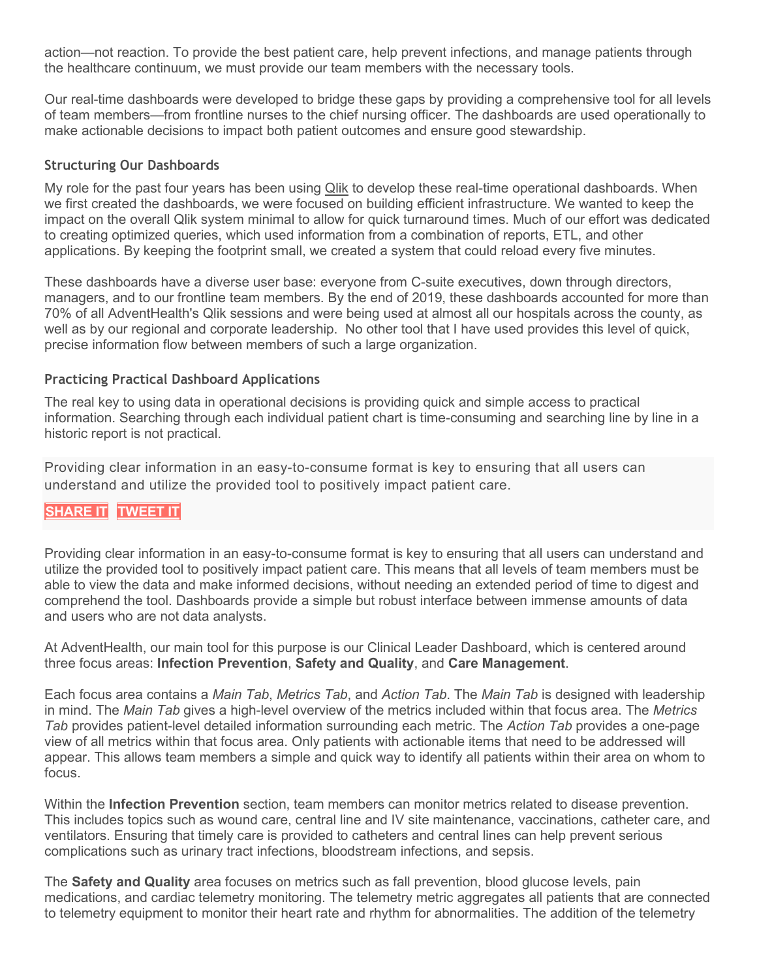action—not reaction. To provide the best patient care, help prevent infections, and manage patients through the healthcare continuum, we must provide our team members with the necessary tools.

Our real-time dashboards were developed to bridge these gaps by providing a comprehensive tool for all levels of team members—from frontline nurses to the chief nursing officer. The dashboards are used operationally to make actionable decisions to impact both patient outcomes and ensure good stewardship.

#### **Structuring Our Dashboards**

My role for the past four years has been using [Qlik](https://www.qlik.com/) to develop these real-time operational dashboards. When we first created the dashboards, we were focused on building efficient infrastructure. We wanted to keep the impact on the overall Qlik system minimal to allow for quick turnaround times. Much of our effort was dedicated to creating optimized queries, which used information from a combination of reports, ETL, and other applications. By keeping the footprint small, we created a system that could reload every five minutes.

These dashboards have a diverse user base: everyone from C-suite executives, down through directors, managers, and to our frontline team members. By the end of 2019, these dashboards accounted for more than 70% of all AdventHealth's Qlik sessions and were being used at almost all our hospitals across the county, as well as by our regional and corporate leadership. No other tool that I have used provides this level of quick, precise information flow between members of such a large organization.

#### **Practicing Practical Dashboard Applications**

The real key to using data in operational decisions is providing quick and simple access to practical information. Searching through each individual patient chart is time-consuming and searching line by line in a historic report is not practical.

Providing clear information in an easy-to-consume format is key to ensuring that all users can understand and utilize the provided tool to positively impact patient care.

# **[SHARE](https://linkedin.com/shareArticle?url=http%3A%2F%2Fupshotstories.com%2Fstories%2F752%3Futm_source%3Dpost%26utm_medium%3Dlinkedin2%26utm_campaign%3Dpost752&mini=true&title=Providing%20clear%20information%20in%20an%20easy-to-consume%20format%20is%20key%20to%20ensuring%20that%20all%20users%20can%20understand%20and%20utilize%20the%20provided%20tool%20to%20positively%20impact%20patient%20care.%20%20%20%20%20%20&summary=How%20Qlik%20Helped%20Us%20Transform%20Intelligent%20Health%20Care) IT [TWEET](https://twitter.com/intent/tweet?text=Providing%20clear%20information%20in%20an%20easy-to-consume%20format%20is%20key%20to%20ensuring%20that%20all%20users%20can%20understand%20and%20utilize%20the%20provided%20tool%20to%20positively%20impact%20patient%20care.%20http%3A%2F%2Fupshotstories.com%2Fstories%2F752%3Futm_source%3Dpost%26utm_medium%3Dtweet2%26utm_campaign%3Dpost752) IT**

Providing clear information in an easy-to-consume format is key to ensuring that all users can understand and utilize the provided tool to positively impact patient care. This means that all levels of team members must be able to view the data and make informed decisions, without needing an extended period of time to digest and comprehend the tool. Dashboards provide a simple but robust interface between immense amounts of data and users who are not data analysts.

At AdventHealth, our main tool for this purpose is our Clinical Leader Dashboard, which is centered around three focus areas: **Infection Prevention**, **Safety and Quality**, and **Care Management**.

Each focus area contains a *Main Tab*, *Metrics Tab*, and *Action Tab*. The *Main Tab* is designed with leadership in mind. The *Main Tab* gives a high-level overview of the metrics included within that focus area. The *Metrics Tab* provides patient-level detailed information surrounding each metric. The *Action Tab* provides a one-page view of all metrics within that focus area. Only patients with actionable items that need to be addressed will appear. This allows team members a simple and quick way to identify all patients within their area on whom to focus.

Within the **Infection Prevention** section, team members can monitor metrics related to disease prevention. This includes topics such as wound care, central line and IV site maintenance, vaccinations, catheter care, and ventilators. Ensuring that timely care is provided to catheters and central lines can help prevent serious complications such as urinary tract infections, bloodstream infections, and sepsis.

The **Safety and Quality** area focuses on metrics such as fall prevention, blood glucose levels, pain medications, and cardiac telemetry monitoring. The telemetry metric aggregates all patients that are connected to telemetry equipment to monitor their heart rate and rhythm for abnormalities. The addition of the telemetry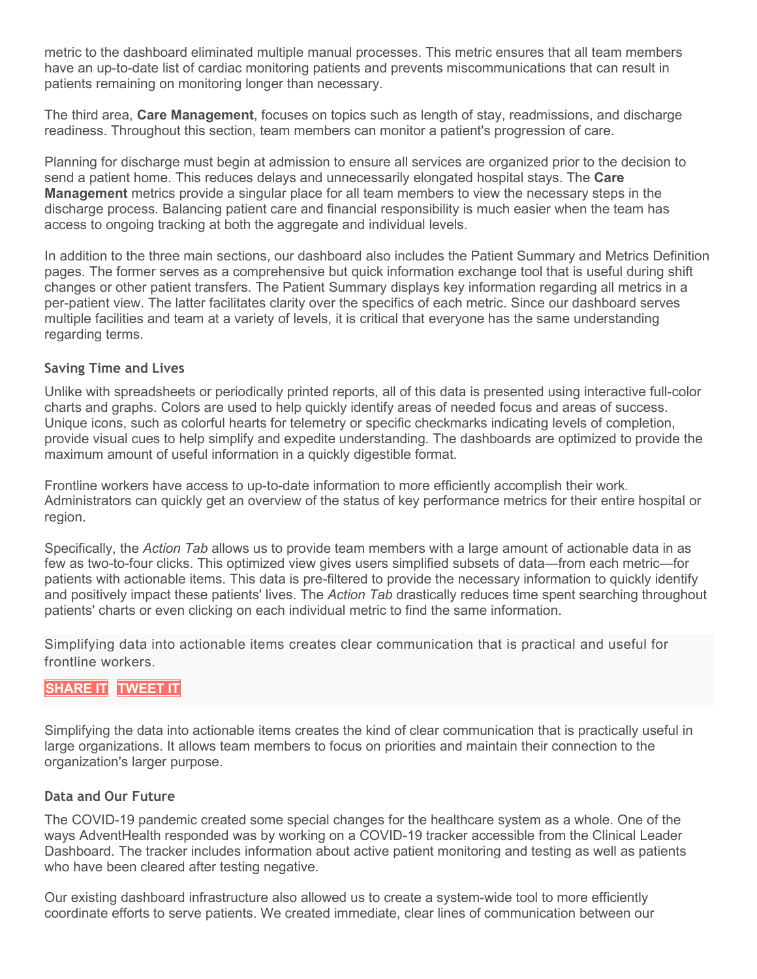metric to the dashboard eliminated multiple manual processes. This metric ensures that all team members have an up-to-date list of cardiac monitoring patients and prevents miscommunications that can result in patients remaining on monitoring longer than necessary.

The third area, **Care Management**, focuses on topics such as length of stay, readmissions, and discharge readiness. Throughout this section, team members can monitor a patient's progression of care.

Planning for discharge must begin at admission to ensure all services are organized prior to the decision to send a patient home. This reduces delays and unnecessarily elongated hospital stays. The **Care Management** metrics provide a singular place for all team members to view the necessary steps in the discharge process. Balancing patient care and financial responsibility is much easier when the team has access to ongoing tracking at both the aggregate and individual levels.

In addition to the three main sections, our dashboard also includes the Patient Summary and Metrics Definition pages. The former serves as a comprehensive but quick information exchange tool that is useful during shift changes or other patient transfers. The Patient Summary displays key information regarding all metrics in a per-patient view. The latter facilitates clarity over the specifics of each metric. Since our dashboard serves multiple facilities and team at a variety of levels, it is critical that everyone has the same understanding regarding terms.

## **Saving Time and Lives**

Unlike with spreadsheets or periodically printed reports, all of this data is presented using interactive full-color charts and graphs. Colors are used to help quickly identify areas of needed focus and areas of success. Unique icons, such as colorful hearts for telemetry or specific checkmarks indicating levels of completion, provide visual cues to help simplify and expedite understanding. The dashboards are optimized to provide the maximum amount of useful information in a quickly digestible format.

Frontline workers have access to up-to-date information to more efficiently accomplish their work. Administrators can quickly get an overview of the status of key performance metrics for their entire hospital or region.

Specifically, the *Action Tab* allows us to provide team members with a large amount of actionable data in as few as two-to-four clicks. This optimized view gives users simplified subsets of data—from each metric—for patients with actionable items. This data is pre-filtered to provide the necessary information to quickly identify and positively impact these patients' lives. The *Action Tab* drastically reduces time spent searching throughout patients' charts or even clicking on each individual metric to find the same information.

Simplifying data into actionable items creates clear communication that is practical and useful for frontline workers.

# **[SHARE](https://linkedin.com/shareArticle?url=http%3A%2F%2Fupshotstories.com%2Fstories%2F752%3Futm_source%3Dpost%26utm_medium%3Dlinkedin3%26utm_campaign%3Dpost752&mini=true&title=Simplifying%20data%20into%20actionable%20items%20creates%20clear%20communication%20that%20is%20practical%20and%20useful%20for%20frontline%20workers.%20%20%20%20%20%20%20&summary=How%20Qlik%20Helped%20Us%20Transform%20Intelligent%20Health%20Care) IT [TWEET](https://twitter.com/intent/tweet?text=Simplifying%20data%20into%20actionable%20items%20creates%20clear%20communication%20that%20is%20practical%20and%20useful%20for%20frontline%20workers.%20%20http%3A%2F%2Fupshotstories.com%2Fstories%2F752%3Futm_source%3Dpost%26utm_medium%3Dtweet3%26utm_campaign%3Dpost752) IT**

Simplifying the data into actionable items creates the kind of clear communication that is practically useful in large organizations. It allows team members to focus on priorities and maintain their connection to the organization's larger purpose.

## **Data and Our Future**

The COVID-19 pandemic created some special changes for the healthcare system as a whole. One of the ways AdventHealth responded was by working on a COVID-19 tracker accessible from the Clinical Leader Dashboard. The tracker includes information about active patient monitoring and testing as well as patients who have been cleared after testing negative.

Our existing dashboard infrastructure also allowed us to create a system-wide tool to more efficiently coordinate efforts to serve patients. We created immediate, clear lines of communication between our